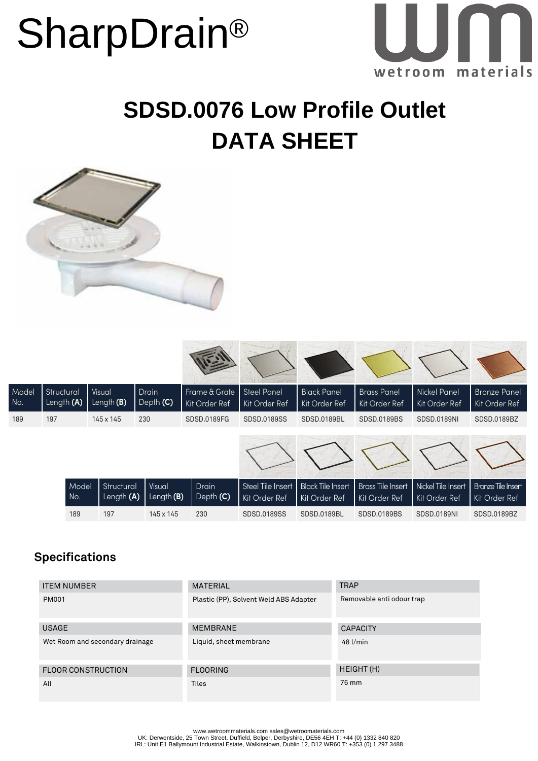## **SharpDrain®**



### **SDSD.0076 Low Profile Outlet DATA SHEET**



| Model<br>No. | Structural<br>Length (A) | Visual<br>Length $(B)$   | Drain<br>Depth (C)          | Frame & Grate<br>Kit Order Ref | <b>Steel Panel</b><br>Kit Order Ref | <b>Black Panel</b><br>Kit Order Ref       | <b>Brass Panel</b><br>Kit Order Ref       | <b>Nickel Panel</b><br>Kit Order Ref | <b>Bronze Panel</b><br>Kit Order Ref       |
|--------------|--------------------------|--------------------------|-----------------------------|--------------------------------|-------------------------------------|-------------------------------------------|-------------------------------------------|--------------------------------------|--------------------------------------------|
| 189          | 197                      | 145 x 145                | 230                         | SDSD,0189FG                    | SDSD.0189SS                         | SDSD.0189BL                               | SDSD.0189BS                               | SDSD.0189NI                          | SDSD.0189BZ                                |
|              |                          |                          |                             |                                |                                     |                                           |                                           |                                      |                                            |
|              | Model<br>No.             | Structural<br>Length (A) | <b>Visual</b><br>Length (B) | Drain<br>Depth (C)             | Steel Tile Insert<br>Kit Order Ref  | <b>Black Tile Insert</b><br>Kit Order Ref | <b>Brass Tile Insert</b><br>Kit Order Ref | Nickel Tile Insert<br>Kit Order Ref  | <b>Bronze Tile Insert</b><br>Kit Order Ref |
|              | 189                      | 197                      | 145 x 145                   | 230                            | SDSD,0189SS                         | SDSD.0189BL                               | SDSD.0189BS                               | <b>SDSD.0189NI</b>                   | SDSD.0189BZ                                |

#### **Specifications**

| <b>ITEM NUMBER</b>              | <b>MATERIAL</b>                        | <b>TRAP</b>               |
|---------------------------------|----------------------------------------|---------------------------|
| <b>PM001</b>                    | Plastic (PP), Solvent Weld ABS Adapter | Removable anti odour trap |
| <b>USAGE</b>                    | <b>MEMBRANE</b>                        | <b>CAPACITY</b>           |
| Wet Room and secondary drainage | Liquid, sheet membrane                 | $48$ $l/min$              |
| <b>FLOOR CONSTRUCTION</b>       | <b>FLOORING</b>                        | HEIGHT (H)                |
| All                             | <b>Tiles</b>                           | 76 mm                     |

www.wetroommaterials.com sales@wetroomaterials.com UK: Derwentside, 25 Town Street, Duffield, Belper, Derbyshire, DE56 4EH T: +44 (0) 1332 840 820 IRL: Unit E1 Ballymount Industrial Estate, Walkinstown, Dublin 12, D12 WR60 T: +353 (0) 1 297 3488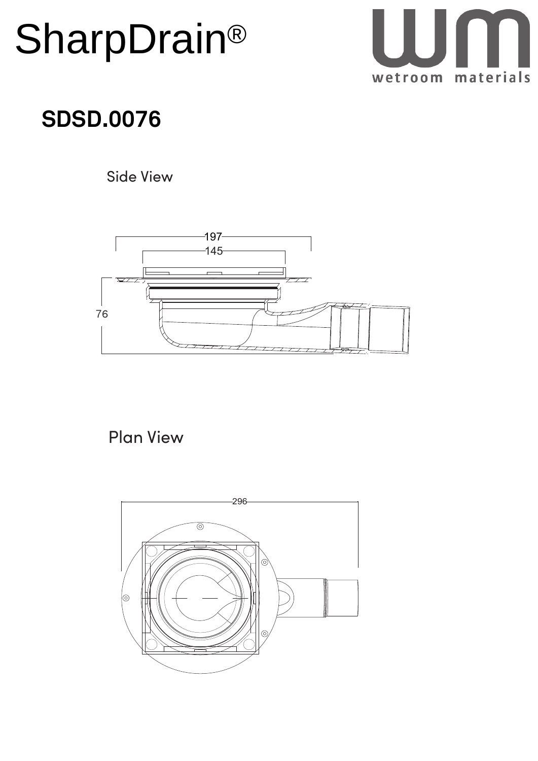# **SharpDrain®**



## **SDSD.0076**

Side View



Plan View